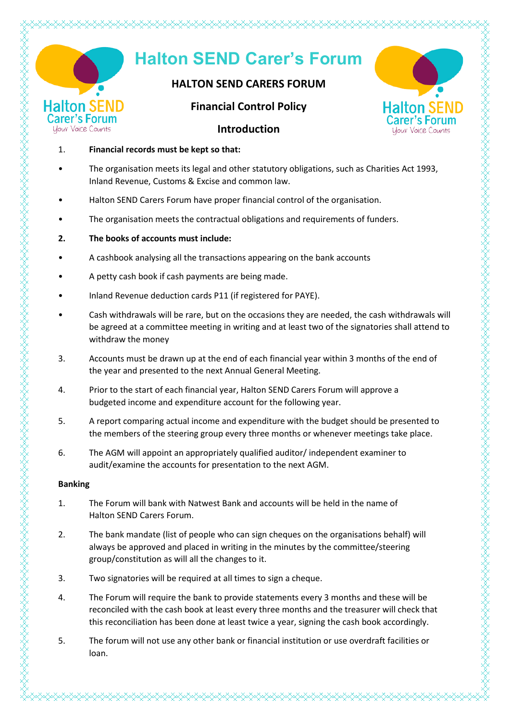|                                      | <b>Halton SEND Carer's Forum</b>                                                                                                                                                                                        |                                                |
|--------------------------------------|-------------------------------------------------------------------------------------------------------------------------------------------------------------------------------------------------------------------------|------------------------------------------------|
|                                      | <b>HALTON SEND CARERS FORUM</b>                                                                                                                                                                                         |                                                |
|                                      | alton SEND<br><b>Financial Control Policy</b>                                                                                                                                                                           | <b>Halton SEN</b>                              |
| arer's F<br><b>Your Voice Counts</b> | <b>Introduction</b>                                                                                                                                                                                                     | <b>Carer's For</b><br><b>Your Voice Counts</b> |
| $\mathbf{1}$ .                       | Financial records must be kept so that:                                                                                                                                                                                 |                                                |
|                                      | The organisation meets its legal and other statutory obligations, such as Charities Act 1993,<br>Inland Revenue, Customs & Excise and common law.                                                                       |                                                |
|                                      | Halton SEND Carers Forum have proper financial control of the organisation.                                                                                                                                             |                                                |
|                                      | The organisation meets the contractual obligations and requirements of funders.                                                                                                                                         |                                                |
| 2.                                   | The books of accounts must include:                                                                                                                                                                                     |                                                |
|                                      | A cashbook analysing all the transactions appearing on the bank accounts                                                                                                                                                |                                                |
|                                      | A petty cash book if cash payments are being made.                                                                                                                                                                      |                                                |
|                                      | Inland Revenue deduction cards P11 (if registered for PAYE).                                                                                                                                                            |                                                |
|                                      | Cash withdrawals will be rare, but on the occasions they are needed, the cash withdrawals will<br>be agreed at a committee meeting in writing and at least two of the signatories shall attend to<br>withdraw the money |                                                |
| 3.                                   | Accounts must be drawn up at the end of each financial year within 3 months of the end of<br>the year and presented to the next Annual General Meeting.                                                                 |                                                |
| 4.                                   | Prior to the start of each financial year, Halton SEND Carers Forum will approve a<br>budgeted income and expenditure account for the following year.                                                                   |                                                |

- 5. A report comparing actual income and expenditure with the budget should be presented to the members of the steering group every three months or whenever meetings take place.
- 6. The AGM will appoint an appropriately qualified auditor/ independent examiner to audit/examine the accounts for presentation to the next AGM.

### **Banking**

- 1. The Forum will bank with Natwest Bank and accounts will be held in the name of Halton SEND Carers Forum.
- 2. The bank mandate (list of people who can sign cheques on the organisations behalf) will always be approved and placed in writing in the minutes by the committee/steering group/constitution as will all the changes to it.
- 3. Two signatories will be required at all times to sign a cheque.
- 4. The Forum will require the bank to provide statements every 3 months and these will be reconciled with the cash book at least every three months and the treasurer will check that this reconciliation has been done at least twice a year, signing the cash book accordingly.
- 5. The forum will not use any other bank or financial institution or use overdraft facilities or loan.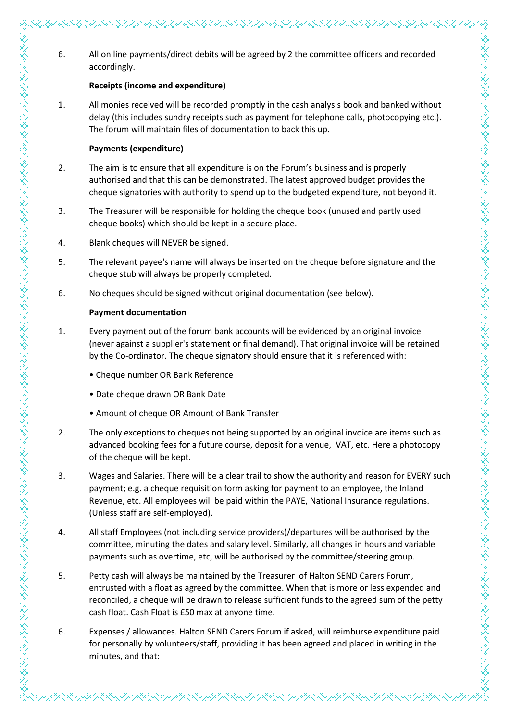### **Receipts (income and expenditure)**

1. All monies received will be recorded promptly in the cash analysis book and banked without delay (this includes sundry receipts such as payment for telephone calls, photocopying etc.). The forum will maintain files of documentation to back this up.

### **Payments (expenditure)**

- 2. The aim is to ensure that all expenditure is on the Forum's business and is properly authorised and that this can be demonstrated. The latest approved budget provides the cheque signatories with authority to spend up to the budgeted expenditure, not beyond it.
- 3. The Treasurer will be responsible for holding the cheque book (unused and partly used cheque books) which should be kept in a secure place.
- 4. Blank cheques will NEVER be signed.
- 5. The relevant payee's name will always be inserted on the cheque before signature and the cheque stub will always be properly completed.
- 6. No cheques should be signed without original documentation (see below).

### **Payment documentation**

http://www.altarty.com/altarty/altarty/altarty/altarty/altarty/altarty/altarty/altarty/altarty/altarty/altarty/altarty/altarty/altarty/altarty/altarty/altarty/altarty/altarty/altarty/altarty/altarty/altarty/altarty/altarty

- 1. Every payment out of the forum bank accounts will be evidenced by an original invoice (never against a supplier's statement or final demand). That original invoice will be retained by the Co-ordinator. The cheque signatory should ensure that it is referenced with:
	- Cheque number OR Bank Reference
	- Date cheque drawn OR Bank Date
	- Amount of cheque OR Amount of Bank Transfer
- 2. The only exceptions to cheques not being supported by an original invoice are items such as advanced booking fees for a future course, deposit for a venue, VAT, etc. Here a photocopy of the cheque will be kept.
- 3. Wages and Salaries. There will be a clear trail to show the authority and reason for EVERY such payment; e.g. a cheque requisition form asking for payment to an employee, the Inland Revenue, etc. All employees will be paid within the PAYE, National Insurance regulations. (Unless staff are self-employed).
- 4. All staff Employees (not including service providers)/departures will be authorised by the committee, minuting the dates and salary level. Similarly, all changes in hours and variable payments such as overtime, etc, will be authorised by the committee/steering group.
- 5. Petty cash will always be maintained by the Treasurer of Halton SEND Carers Forum, entrusted with a float as agreed by the committee. When that is more or less expended and reconciled, a cheque will be drawn to release sufficient funds to the agreed sum of the petty cash float. Cash Float is £50 max at anyone time.
- 6. Expenses / allowances. Halton SEND Carers Forum if asked, will reimburse expenditure paid for personally by volunteers/staff, providing it has been agreed and placed in writing in the minutes, and that: